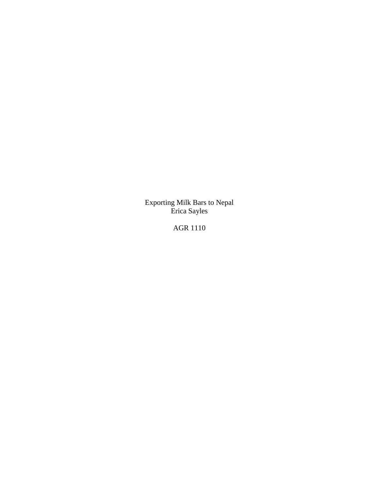Exporting Milk Bars to Nepal Erica Sayles

AGR 1110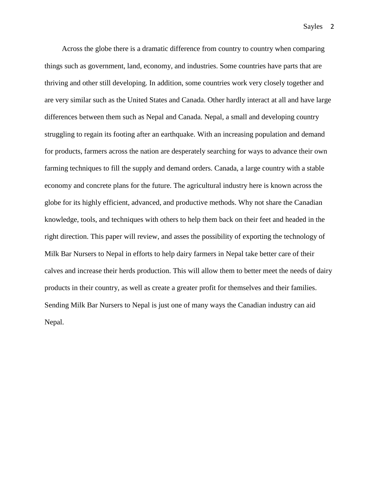Across the globe there is a dramatic difference from country to country when comparing things such as government, land, economy, and industries. Some countries have parts that are thriving and other still developing. In addition, some countries work very closely together and are very similar such as the United States and Canada. Other hardly interact at all and have large differences between them such as Nepal and Canada. Nepal, a small and developing country struggling to regain its footing after an earthquake. With an increasing population and demand for products, farmers across the nation are desperately searching for ways to advance their own farming techniques to fill the supply and demand orders. Canada, a large country with a stable economy and concrete plans for the future. The agricultural industry here is known across the globe for its highly efficient, advanced, and productive methods. Why not share the Canadian knowledge, tools, and techniques with others to help them back on their feet and headed in the right direction. This paper will review, and asses the possibility of exporting the technology of Milk Bar Nursers to Nepal in efforts to help dairy farmers in Nepal take better care of their calves and increase their herds production. This will allow them to better meet the needs of dairy products in their country, as well as create a greater profit for themselves and their families. Sending Milk Bar Nursers to Nepal is just one of many ways the Canadian industry can aid Nepal.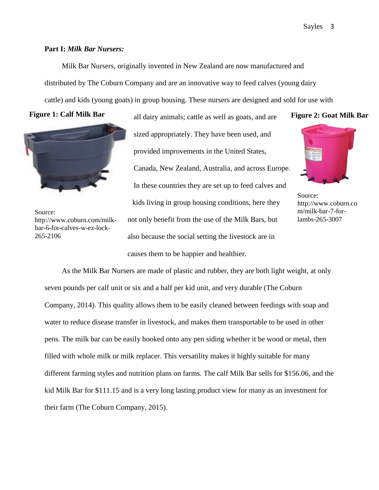### **Part I:** *Milk Bar Nursers:*

Milk Bar Nursers, originally invented in New Zealand are now manufactured and distributed by The Coburn Company and are an innovative way to feed calves (young dairy cattle) and kids (young goats) in group housing. These nursers are designed and sold for use with

#### **Figure 1: Calf Milk Bar**



Source: http://www.coburn.com/milkbar-6-for-calves-w-ez-lock-265-2106

all dairy animals; cattle as well as goats, and are sized appropriately. They have been used, and provided improvements in the United States, Canada, New Zealand, Australia, and across Europe. In these countries they are set up to feed calves and kids living in group housing conditions, here they not only benefit from the use of the Milk Bars, but also because the social setting the livestock are in causes them to be happier and healthier.

#### **Figure 2: Goat Milk Bar**



Source: http://www.coburn.co m/milk-bar-7-forlambs-265-3007

As the Milk Bar Nursers are made of plastic and rubber, they are both light weight, at only seven pounds per calf unit or six and a half per kid unit, and very durable (The Coburn Company, 2014). This quality allows them to be easily cleaned between feedings with soap and water to reduce disease transfer in livestock, and makes them transportable to be used in other pens. The milk bar can be easily hooked onto any pen siding whether it be wood or metal, then filled with whole milk or milk replacer. This versatility makes it highly suitable for many different farming styles and nutrition plans on farms. The calf Milk Bar sells for \$156.06, and the kid Milk Bar for \$111.15 and is a very long lasting product view for many as an investment for their farm (The Coburn Company, 2015).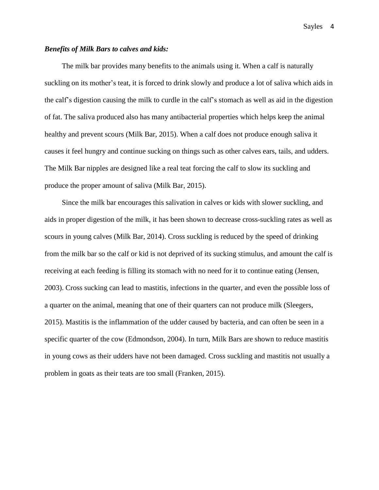## *Benefits of Milk Bars to calves and kids:*

The milk bar provides many benefits to the animals using it. When a calf is naturally suckling on its mother's teat, it is forced to drink slowly and produce a lot of saliva which aids in the calf's digestion causing the milk to curdle in the calf's stomach as well as aid in the digestion of fat. The saliva produced also has many antibacterial properties which helps keep the animal healthy and prevent scours (Milk Bar, 2015). When a calf does not produce enough saliva it causes it feel hungry and continue sucking on things such as other calves ears, tails, and udders. The Milk Bar nipples are designed like a real teat forcing the calf to slow its suckling and produce the proper amount of saliva (Milk Bar, 2015).

Since the milk bar encourages this salivation in calves or kids with slower suckling, and aids in proper digestion of the milk, it has been shown to decrease cross-suckling rates as well as scours in young calves (Milk Bar, 2014). Cross suckling is reduced by the speed of drinking from the milk bar so the calf or kid is not deprived of its sucking stimulus, and amount the calf is receiving at each feeding is filling its stomach with no need for it to continue eating (Jensen, 2003). Cross sucking can lead to mastitis, infections in the quarter, and even the possible loss of a quarter on the animal, meaning that one of their quarters can not produce milk (Sleegers, 2015). Mastitis is the inflammation of the udder caused by bacteria, and can often be seen in a specific quarter of the cow (Edmondson, 2004). In turn, Milk Bars are shown to reduce mastitis in young cows as their udders have not been damaged. Cross suckling and mastitis not usually a problem in goats as their teats are too small (Franken, 2015).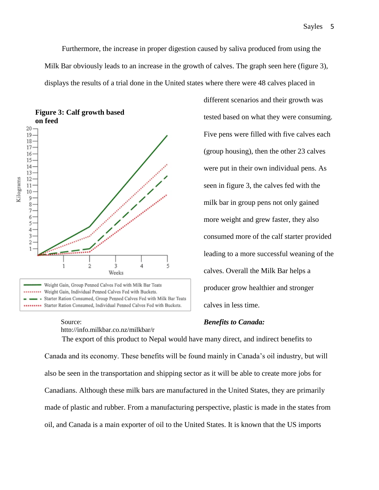Furthermore, the increase in proper digestion caused by saliva produced from using the Milk Bar obviously leads to an increase in the growth of calves. The graph seen here (figure 3), displays the results of a trial done in the United states where there were 48 calves placed in



[http://info.milkbar.co.nz/milkbar/r](http://info.milkbar.co.nz/milkbar/research/)

Source:

**Figure 3: Calf growth based on feed**

# *Benefits to Canada:*

calves in less time.

were put in their own individual pens. As seen in figure 3, the calves fed with the milk bar in group pens not only gained more weight and grew faster, they also consumed more of the calf starter provided leading to a more successful weaning of the calves. Overall the Milk Bar helps a producer grow healthier and stronger

different scenarios and their growth was

tested based on what they were consuming.

Five pens were filled with five calves each

(group housing), then the other 23 calves

The export of this product to Nepal would have many direct, and indirect benefits to Canada and its economy. These benefits will be found mainly in Canada's oil industry, but will also be seen in the transportation and shipping sector as it will be able to create more jobs for Canadians. Although these milk bars are manufactured in the United States, they are primarily made of plastic and rubber. From a manufacturing perspective, plastic is made in the states from oil, and Canada is a main exporter of oil to the United States. It is known that the US imports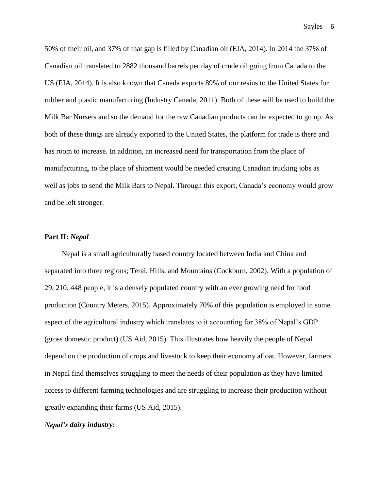50% of their oil, and 37% of that gap is filled by Canadian oil (EIA, 2014). In 2014 the 37% of Canadian oil translated to 2882 thousand barrels per day of crude oil going from Canada to the US (EIA, 2014). It is also known that Canada exports 89% of our resins to the United States for rubber and plastic manufacturing (Industry Canada, 2011). Both of these will be used to build the Milk Bar Nursers and so the demand for the raw Canadian products can be expected to go up. As both of these things are already exported to the United States, the platform for trade is there and has room to increase. In addition, an increased need for transportation from the place of manufacturing, to the place of shipment would be needed creating Canadian trucking jobs as well as jobs to send the Milk Bars to Nepal. Through this export, Canada's economy would grow and be left stronger.

## **Part II:** *Nepal*

Nepal is a small agriculturally based country located between India and China and separated into three regions; Terai, Hills, and Mountains (Cockburn, 2002). With a population of 29, 210, 448 people, it is a densely populated country with an ever growing need for food production (Country Meters, 2015). Approximately 70% of this population is employed in some aspect of the agricultural industry which translates to it accounting for 38% of Nepal's GDP (gross domestic product) (US Aid, 2015). This illustrates how heavily the people of Nepal depend on the production of crops and livestock to keep their economy afloat. However, farmers in Nepal find themselves struggling to meet the needs of their population as they have limited access to different farming technologies and are struggling to increase their production without greatly expanding their farms (US Aid, 2015).

#### *Nepal's dairy industry:*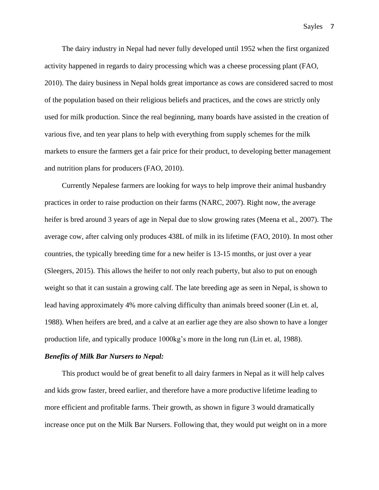The dairy industry in Nepal had never fully developed until 1952 when the first organized activity happened in regards to dairy processing which was a cheese processing plant (FAO, 2010). The dairy business in Nepal holds great importance as cows are considered sacred to most of the population based on their religious beliefs and practices, and the cows are strictly only used for milk production. Since the real beginning, many boards have assisted in the creation of various five, and ten year plans to help with everything from supply schemes for the milk markets to ensure the farmers get a fair price for their product, to developing better management and nutrition plans for producers (FAO, 2010).

Currently Nepalese farmers are looking for ways to help improve their animal husbandry practices in order to raise production on their farms (NARC, 2007). Right now, the average heifer is bred around 3 years of age in Nepal due to slow growing rates (Meena et al., 2007). The average cow, after calving only produces 438L of milk in its lifetime (FAO, 2010). In most other countries, the typically breeding time for a new heifer is 13-15 months, or just over a year (Sleegers, 2015). This allows the heifer to not only reach puberty, but also to put on enough weight so that it can sustain a growing calf. The late breeding age as seen in Nepal, is shown to lead having approximately 4% more calving difficulty than animals breed sooner (Lin et. al, 1988). When heifers are bred, and a calve at an earlier age they are also shown to have a longer production life, and typically produce 1000kg's more in the long run (Lin et. al, 1988).

#### *Benefits of Milk Bar Nursers to Nepal:*

This product would be of great benefit to all dairy farmers in Nepal as it will help calves and kids grow faster, breed earlier, and therefore have a more productive lifetime leading to more efficient and profitable farms. Their growth, as shown in figure 3 would dramatically increase once put on the Milk Bar Nursers. Following that, they would put weight on in a more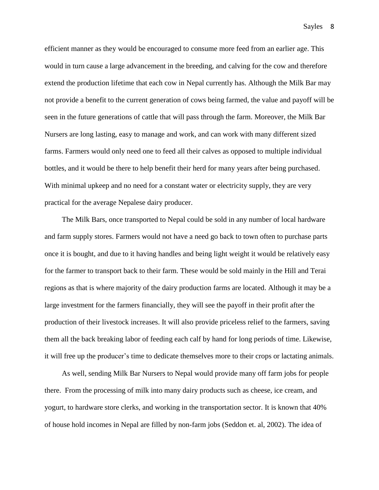efficient manner as they would be encouraged to consume more feed from an earlier age. This would in turn cause a large advancement in the breeding, and calving for the cow and therefore extend the production lifetime that each cow in Nepal currently has. Although the Milk Bar may not provide a benefit to the current generation of cows being farmed, the value and payoff will be seen in the future generations of cattle that will pass through the farm. Moreover, the Milk Bar Nursers are long lasting, easy to manage and work, and can work with many different sized farms. Farmers would only need one to feed all their calves as opposed to multiple individual bottles, and it would be there to help benefit their herd for many years after being purchased. With minimal upkeep and no need for a constant water or electricity supply, they are very practical for the average Nepalese dairy producer.

The Milk Bars, once transported to Nepal could be sold in any number of local hardware and farm supply stores. Farmers would not have a need go back to town often to purchase parts once it is bought, and due to it having handles and being light weight it would be relatively easy for the farmer to transport back to their farm. These would be sold mainly in the Hill and Terai regions as that is where majority of the dairy production farms are located. Although it may be a large investment for the farmers financially, they will see the payoff in their profit after the production of their livestock increases. It will also provide priceless relief to the farmers, saving them all the back breaking labor of feeding each calf by hand for long periods of time. Likewise, it will free up the producer's time to dedicate themselves more to their crops or lactating animals.

As well, sending Milk Bar Nursers to Nepal would provide many off farm jobs for people there. From the processing of milk into many dairy products such as cheese, ice cream, and yogurt, to hardware store clerks, and working in the transportation sector. It is known that 40% of house hold incomes in Nepal are filled by non-farm jobs (Seddon et. al, 2002). The idea of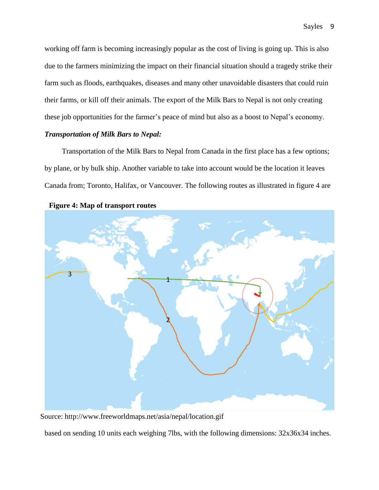working off farm is becoming increasingly popular as the cost of living is going up. This is also due to the farmers minimizing the impact on their financial situation should a tragedy strike their farm such as floods, earthquakes, diseases and many other unavoidable disasters that could ruin their farms, or kill off their animals. The export of the Milk Bars to Nepal is not only creating these job opportunities for the farmer's peace of mind but also as a boost to Nepal's economy.

## *Transportation of Milk Bars to Nepal:*

Transportation of the Milk Bars to Nepal from Canada in the first place has a few options; by plane, or by bulk ship. Another variable to take into account would be the location it leaves Canada from; Toronto, Halifax, or Vancouver. The following routes as illustrated in figure 4 are



**Figure 4: Map of transport routes**

Source:<http://www.freeworldmaps.net/asia/nepal/location.gif>

based on sending 10 units each weighing 7lbs, with the following dimensions: 32x36x34 inches.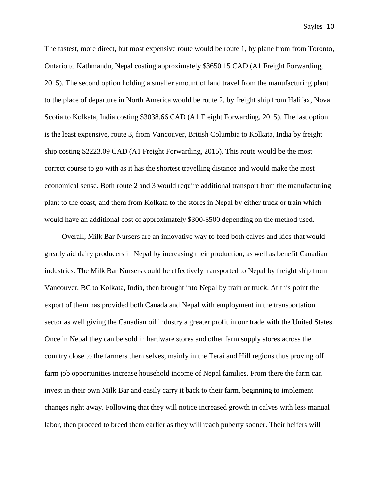The fastest, more direct, but most expensive route would be route 1, by plane from from Toronto, Ontario to Kathmandu, Nepal costing approximately \$3650.15 CAD (A1 Freight Forwarding, 2015). The second option holding a smaller amount of land travel from the manufacturing plant to the place of departure in North America would be route 2, by freight ship from Halifax, Nova Scotia to Kolkata, India costing \$3038.66 CAD (A1 Freight Forwarding, 2015). The last option is the least expensive, route 3, from Vancouver, British Columbia to Kolkata, India by freight ship costing \$2223.09 CAD (A1 Freight Forwarding, 2015). This route would be the most correct course to go with as it has the shortest travelling distance and would make the most economical sense. Both route 2 and 3 would require additional transport from the manufacturing plant to the coast, and them from Kolkata to the stores in Nepal by either truck or train which would have an additional cost of approximately \$300-\$500 depending on the method used.

Overall, Milk Bar Nursers are an innovative way to feed both calves and kids that would greatly aid dairy producers in Nepal by increasing their production, as well as benefit Canadian industries. The Milk Bar Nursers could be effectively transported to Nepal by freight ship from Vancouver, BC to Kolkata, India, then brought into Nepal by train or truck. At this point the export of them has provided both Canada and Nepal with employment in the transportation sector as well giving the Canadian oil industry a greater profit in our trade with the United States. Once in Nepal they can be sold in hardware stores and other farm supply stores across the country close to the farmers them selves, mainly in the Terai and Hill regions thus proving off farm job opportunities increase household income of Nepal families. From there the farm can invest in their own Milk Bar and easily carry it back to their farm, beginning to implement changes right away. Following that they will notice increased growth in calves with less manual labor, then proceed to breed them earlier as they will reach puberty sooner. Their heifers will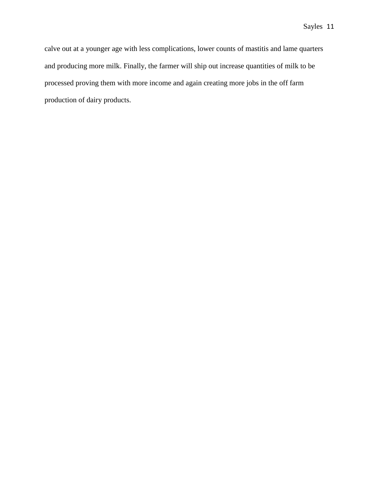calve out at a younger age with less complications, lower counts of mastitis and lame quarters and producing more milk. Finally, the farmer will ship out increase quantities of milk to be processed proving them with more income and again creating more jobs in the off farm production of dairy products.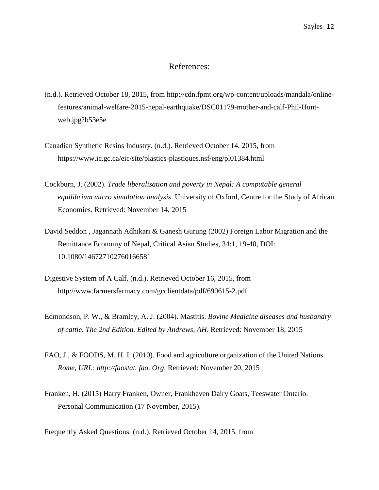## References:

- (n.d.). Retrieved October 18, 2015, from [http://cdn.fpmt.org/wp-content/uploads/mandala/online](http://cdn.fpmt.org/wp-content/uploads/mandala/online-features/animal-welfare-2015-nepal-earthquake/DSC01179-mother-and-calf-Phil-Hunt-web.jpg?b53e5e)[features/animal-welfare-2015-nepal-earthquake/DSC01179-mother-and-calf-Phil-Hunt](http://cdn.fpmt.org/wp-content/uploads/mandala/online-features/animal-welfare-2015-nepal-earthquake/DSC01179-mother-and-calf-Phil-Hunt-web.jpg?b53e5e)[web.jpg?b53e5e](http://cdn.fpmt.org/wp-content/uploads/mandala/online-features/animal-welfare-2015-nepal-earthquake/DSC01179-mother-and-calf-Phil-Hunt-web.jpg?b53e5e)
- Canadian Synthetic Resins Industry. (n.d.). Retrieved October 14, 2015, from <https://www.ic.gc.ca/eic/site/plastics-plastiques.nsf/eng/pl01384.html>
- Cockburn, J. (2002). *Trade liberalisation and poverty in Nepal: A computable general equilibrium micro simulation analysis*. University of Oxford, Centre for the Study of African Economies. Retrieved: November 14, 2015
- David Seddon , Jagannath Adhikari & Ganesh Gurung (2002) Foreign Labor Migration and the Remittance Economy of Nepal, Critical Asian Studies, 34:1, 19-40, DOI: 10.1080/146727102760166581
- Digestive System of A Calf. (n.d.). Retrieved October 16, 2015, from <http://www.farmersfarmacy.com/gcclientdata/pdf/690615-2.pdf>
- Edmondson, P. W., & Bramley, A. J. (2004). Mastitis. *Bovine Medicine diseases and husbandry of cattle. The 2nd Edition. Edited by Andrews, AH*. Retrieved: November 18, 2015
- FAO, J., & FOODS, M. H. I. (2010). Food and agriculture organization of the United Nations. *Rome, URL: http://faostat. fao. Org*. Retrieved: November 20, 2015
- Franken, H. (2015) Harry Franken, Owner, Frankhaven Dairy Goats, Teeswater Ontario. Personal Communication (17 November, 2015).

Frequently Asked Questions. (n.d.). Retrieved October 14, 2015, from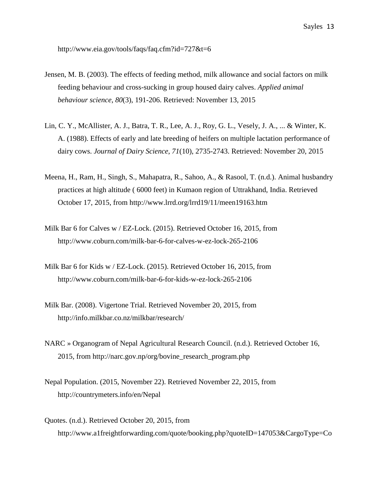<http://www.eia.gov/tools/faqs/faq.cfm?id=727&t=6>

- Jensen, M. B. (2003). The effects of feeding method, milk allowance and social factors on milk feeding behaviour and cross-sucking in group housed dairy calves. *Applied animal behaviour science*, *80*(3), 191-206. Retrieved: November 13, 2015
- Lin, C. Y., McAllister, A. J., Batra, T. R., Lee, A. J., Roy, G. L., Vesely, J. A., ... & Winter, K. A. (1988). Effects of early and late breeding of heifers on multiple lactation performance of dairy cows. *Journal of Dairy Science*, *71*(10), 2735-2743. Retrieved: November 20, 2015
- Meena, H., Ram, H., Singh, S., Mahapatra, R., Sahoo, A., & Rasool, T. (n.d.). Animal husbandry practices at high altitude ( 6000 feet) in Kumaon region of Uttrakhand, India. Retrieved October 17, 2015, from<http://www.lrrd.org/lrrd19/11/meen19163.htm>
- Milk Bar 6 for Calves w / EZ-Lock. (2015). Retrieved October 16, 2015, from <http://www.coburn.com/milk-bar-6-for-calves-w-ez-lock-265-2106>
- Milk Bar 6 for Kids w / EZ-Lock. (2015). Retrieved October 16, 2015, from <http://www.coburn.com/milk-bar-6-for-kids-w-ez-lock-265-2106>
- Milk Bar. (2008). Vigertone Trial. Retrieved November 20, 2015, from http://info.milkbar.co.nz/milkbar/research/
- NARC » Organogram of Nepal Agricultural Research Council. (n.d.). Retrieved October 16, 2015, from [http://narc.gov.np/org/bovine\\_research\\_program.php](http://narc.gov.np/org/bovine_research_program.php)
- Nepal Population. (2015, November 22). Retrieved November 22, 2015, from http://countrymeters.info/en/Nepal
- Quotes. (n.d.). Retrieved October 20, 2015, from http://www.a1freightforwarding.com/quote/booking.php?quoteID=147053&CargoType=Co